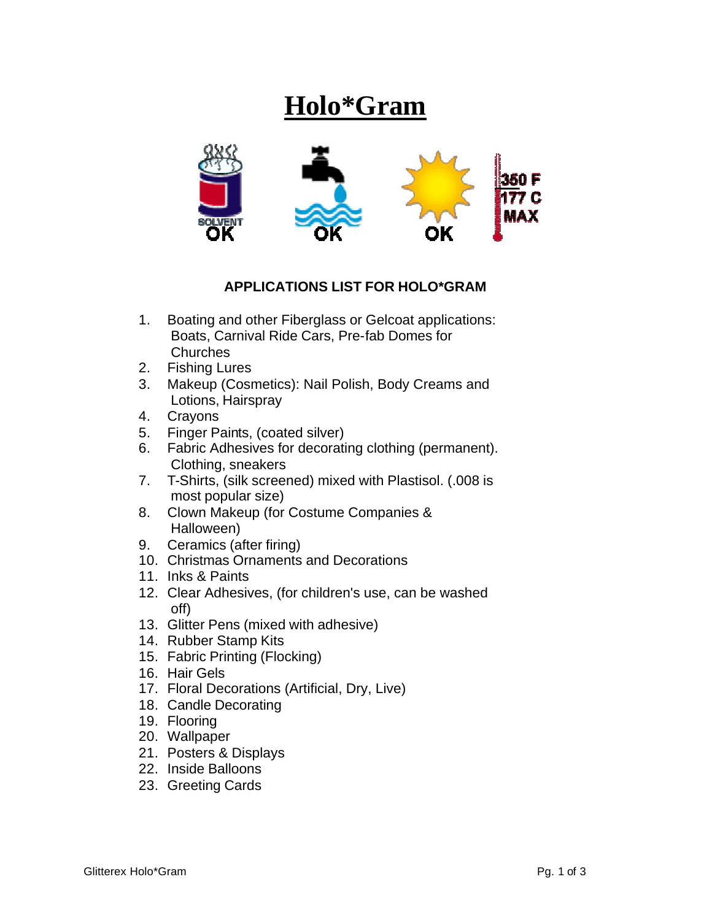## **Holo\*Gram**



## **APPLICATIONS LIST FOR HOLO\*GRAM**

- 1. Boating and other Fiberglass or Gelcoat applications: Boats, Carnival Ride Cars, Pre-fab Domes for **Churches**
- 2. Fishing Lures
- 3. Makeup (Cosmetics): Nail Polish, Body Creams and Lotions, Hairspray
- 4. Crayons
- 5. Finger Paints, (coated silver)
- 6. Fabric Adhesives for decorating clothing (permanent). Clothing, sneakers
- 7. T-Shirts, (silk screened) mixed with Plastisol. (.008 is most popular size)
- 8. Clown Makeup (for Costume Companies & Halloween)
- 9. Ceramics (after firing)
- 10. Christmas Ornaments and Decorations
- 11. Inks & Paints
- 12. Clear Adhesives, (for children's use, can be washed off)
- 13. Glitter Pens (mixed with adhesive)
- 14. Rubber Stamp Kits
- 15. Fabric Printing (Flocking)
- 16. Hair Gels
- 17. Floral Decorations (Artificial, Dry, Live)
- 18. Candle Decorating
- 19. Flooring
- 20. Wallpaper
- 21. Posters & Displays
- 22. Inside Balloons
- 23. Greeting Cards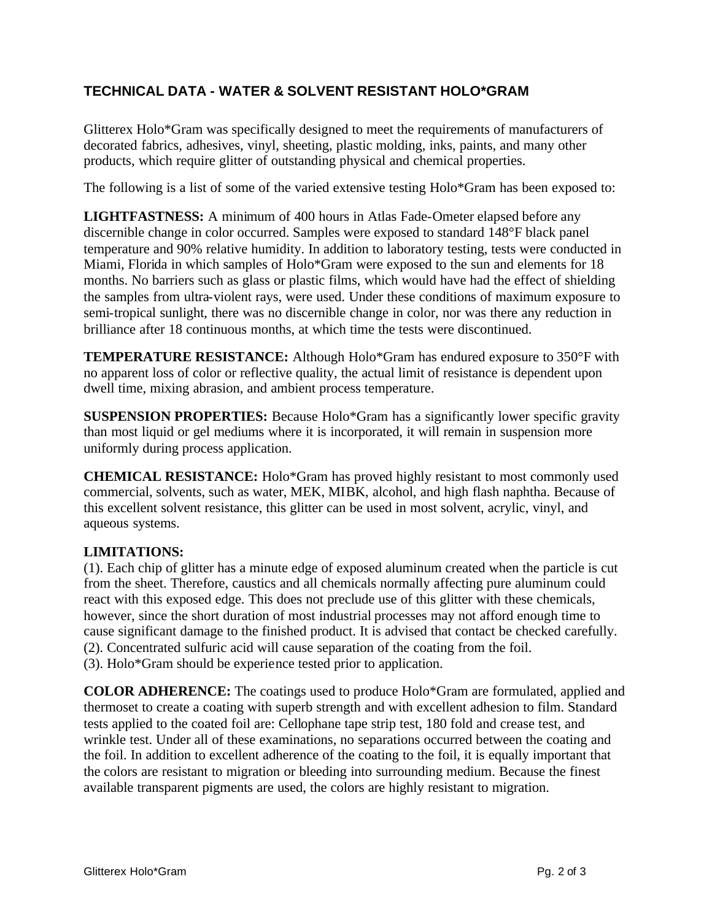## **TECHNICAL DATA - WATER & SOLVENT RESISTANT HOLO\*GRAM**

Glitterex Holo\*Gram was specifically designed to meet the requirements of manufacturers of decorated fabrics, adhesives, vinyl, sheeting, plastic molding, inks, paints, and many other products, which require glitter of outstanding physical and chemical properties.

The following is a list of some of the varied extensive testing Holo\*Gram has been exposed to:

**LIGHTFASTNESS:** A minimum of 400 hours in Atlas Fade-Ometer elapsed before any discernible change in color occurred. Samples were exposed to standard 148°F black panel temperature and 90% relative humidity. In addition to laboratory testing, tests were conducted in Miami, Florida in which samples of Holo\*Gram were exposed to the sun and elements for 18 months. No barriers such as glass or plastic films, which would have had the effect of shielding the samples from ultra-violent rays, were used. Under these conditions of maximum exposure to semi-tropical sunlight, there was no discernible change in color, nor was there any reduction in brilliance after 18 continuous months, at which time the tests were discontinued.

**TEMPERATURE RESISTANCE:** Although Holo\*Gram has endured exposure to 350°F with no apparent loss of color or reflective quality, the actual limit of resistance is dependent upon dwell time, mixing abrasion, and ambient process temperature.

**SUSPENSION PROPERTIES:** Because Holo\*Gram has a significantly lower specific gravity than most liquid or gel mediums where it is incorporated, it will remain in suspension more uniformly during process application.

**CHEMICAL RESISTANCE:** Holo\*Gram has proved highly resistant to most commonly used commercial, solvents, such as water, MEK, MIBK, alcohol, and high flash naphtha. Because of this excellent solvent resistance, this glitter can be used in most solvent, acrylic, vinyl, and aqueous systems.

## **LIMITATIONS:**

(1). Each chip of glitter has a minute edge of exposed aluminum created when the particle is cut from the sheet. Therefore, caustics and all chemicals normally affecting pure aluminum could react with this exposed edge. This does not preclude use of this glitter with these chemicals, however, since the short duration of most industrial processes may not afford enough time to cause significant damage to the finished product. It is advised that contact be checked carefully. (2). Concentrated sulfuric acid will cause separation of the coating from the foil. (3). Holo\*Gram should be experience tested prior to application.

**COLOR ADHERENCE:** The coatings used to produce Holo\*Gram are formulated, applied and thermoset to create a coating with superb strength and with excellent adhesion to film. Standard tests applied to the coated foil are: Cellophane tape strip test, 180 fold and crease test, and wrinkle test. Under all of these examinations, no separations occurred between the coating and the foil. In addition to excellent adherence of the coating to the foil, it is equally important that the colors are resistant to migration or bleeding into surrounding medium. Because the finest available transparent pigments are used, the colors are highly resistant to migration.